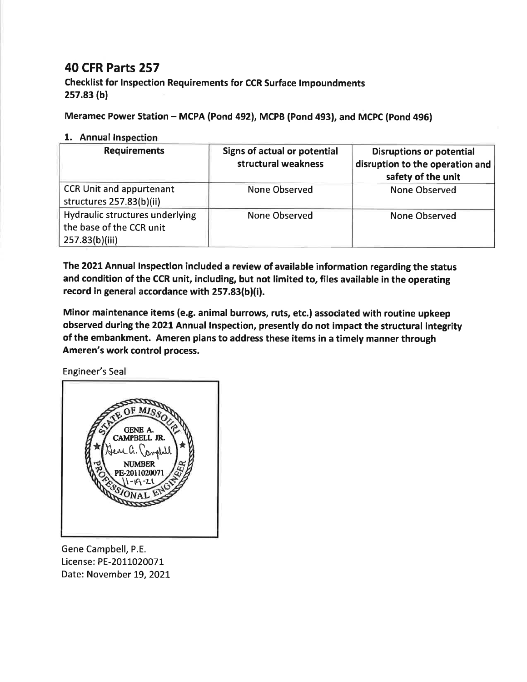## **40 CFR Parts 257**

Checklist for Inspection Requirements for CCR Surface Impoundments  $257.83(b)$ 

Meramec Power Station - MCPA (Pond 492), MCPB (Pond 493), and MCPC (Pond 496)

## 1. Annual Inspection

| <b>Requirements</b>                                                           | Signs of actual or potential<br>structural weakness | <b>Disruptions or potential</b><br>disruption to the operation and<br>safety of the unit |
|-------------------------------------------------------------------------------|-----------------------------------------------------|------------------------------------------------------------------------------------------|
| <b>CCR Unit and appurtenant</b><br>structures 257.83(b)(ii)                   | None Observed                                       | None Observed                                                                            |
| Hydraulic structures underlying<br>the base of the CCR unit<br>257.83(b)(iii) | None Observed                                       | <b>None Observed</b>                                                                     |

The 2021 Annual Inspection included a review of available information regarding the status and condition of the CCR unit, including, but not limited to, files available in the operating record in general accordance with 257.83(b)(i).

Minor maintenance items (e.g. animal burrows, ruts, etc.) associated with routine upkeep observed during the 2021 Annual Inspection, presently do not impact the structural integrity of the embankment. Ameren plans to address these items in a timely manner through Ameren's work control process.

Engineer's Seal



Gene Campbell, P.E. License: PE-2011020071 Date: November 19, 2021